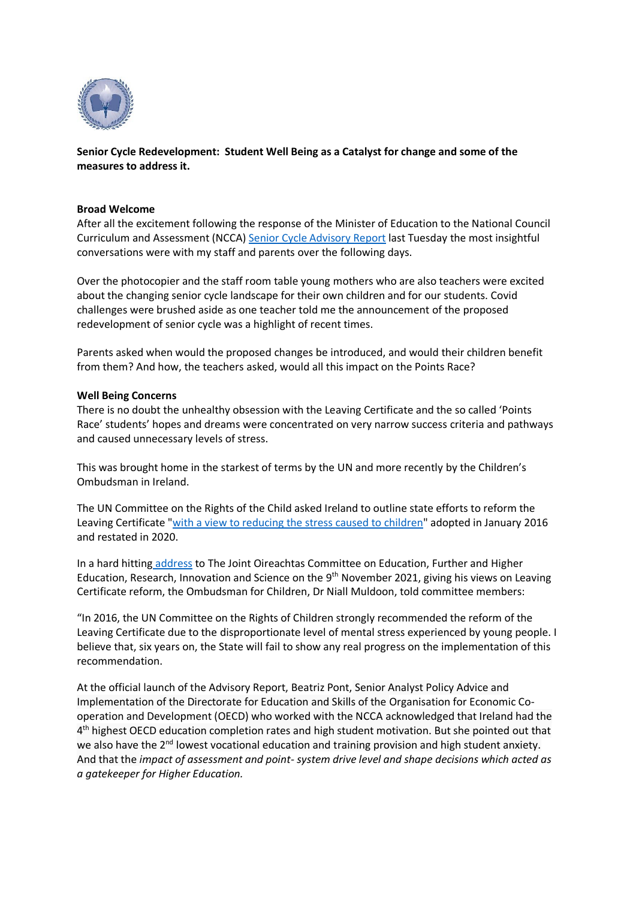

**Senior Cycle Redevelopment: Student Well Being as a Catalyst for change and some of the measures to address it.** 

#### **Broad Welcome**

After all the excitement following the response of the Minister of Education to the National Council Curriculum and Assessment (NCCA) [Senior Cycle Advisory Report](https://ncca.ie/en/resources/senior-cycle-review-advisory-report/) last Tuesday the most insightful conversations were with my staff and parents over the following days.

Over the photocopier and the staff room table young mothers who are also teachers were excited about the changing senior cycle landscape for their own children and for our students. Covid challenges were brushed aside as one teacher told me the announcement of the proposed redevelopment of senior cycle was a highlight of recent times.

Parents asked when would the proposed changes be introduced, and would their children benefit from them? And how, the teachers asked, would all this impact on the Points Race?

#### **Well Being Concerns**

There is no doubt the unhealthy obsession with the Leaving Certificate and the so called 'Points Race' students' hopes and dreams were concentrated on very narrow success criteria and pathways and caused unnecessary levels of stress.

This was brought home in the starkest of terms by the UN and more recently by the Children's Ombudsman in Ireland.

The UN Committee on the Rights of the Child asked Ireland to outline state efforts to reform the Leaving Certificate ["with a view to reducing the stress caused to children"](https://tbinternet.ohchr.org/Treaties/CRC/Shared%20Documents/IRL/CRC_C_IRL_QPR_5-6_43616_E.pdf) adopted in January 2016 and restated in 2020.

In a hard hitting [address](https://www.oco.ie/news/childrens-voice-not-strong-enough-in-leaving-cert-reform-ombudsman-for-children/) to The Joint Oireachtas Committee on Education, Further and Higher Education, Research, Innovation and Science on the 9<sup>th</sup> November 2021, giving his views on Leaving Certificate reform, the Ombudsman for Children, Dr Niall Muldoon, told committee members:

"In 2016, the UN Committee on the Rights of Children strongly recommended the reform of the Leaving Certificate due to the disproportionate level of mental stress experienced by young people. I believe that, six years on, the State will fail to show any real progress on the implementation of this recommendation.

At the official launch of the Advisory Report, Beatriz Pont, Senior Analyst Policy Advice and Implementation of the Directorate for Education and Skills of the Organisation for Economic Cooperation and Development (OECD) who worked with the NCCA acknowledged that Ireland had the 4<sup>th</sup> highest OECD education completion rates and high student motivation. But she pointed out that we also have the 2<sup>nd</sup> lowest vocational education and training provision and high student anxiety. And that the *impact of assessment and point- system drive level and shape decisions which acted as a gatekeeper for Higher Education.*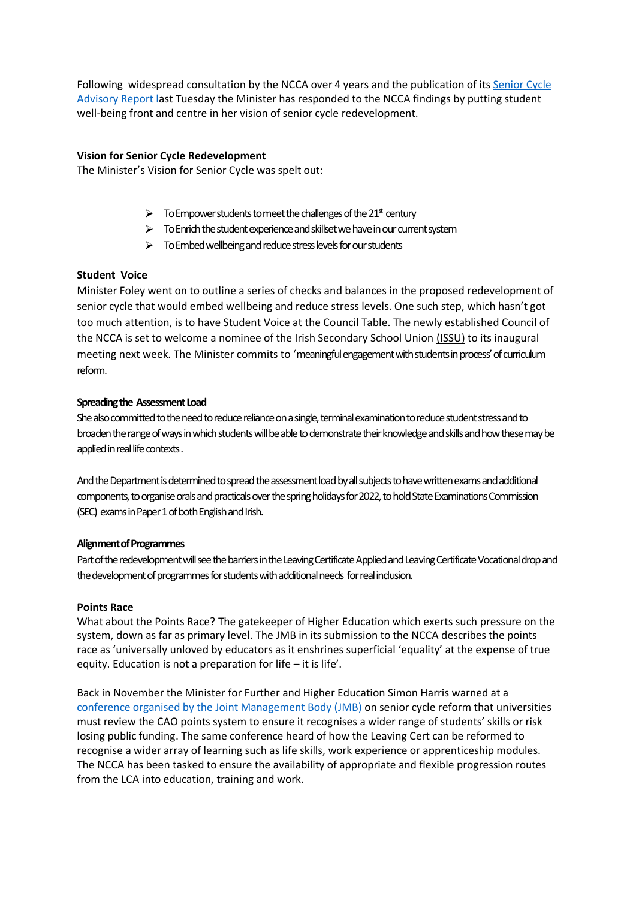Following widespread consultation by the NCCA over 4 years and the publication of its [Senior](https://ncca.ie/media/5399/scr-advisory-report_en.pdf) Cycle [Advisory Report la](https://ncca.ie/media/5399/scr-advisory-report_en.pdf)st Tuesday the Minister has responded to the NCCA findings by putting student well-being front and centre in her vision of senior cycle redevelopment.

# **Vision for Senior Cycle Redevelopment**

The Minister's Vision for Senior Cycle was spelt out:

- $\triangleright$  To Empower students to meet the challenges of the 21<sup>st</sup> century
- $\triangleright$  To Enrich the student experience and skillset we have in our current system
- $\triangleright$  To Embed wellbeing and reduce stress levels for our students

## **Student Voice**

Minister Foley went on to outline a series of checks and balances in the proposed redevelopment of senior cycle that would embed wellbeing and reduce stress levels. One such step, which hasn't got too much attention, is to have Student Voice at the Council Table. The newly established Council of the NCCA is set to welcome a nominee of the Irish Secondary School Union [\(ISSU\)](https://www.issu.ie/) to its inaugural meeting next week. The Minister commits to 'meaningful engagement with students in process' of curriculum reform.

## **Spreading the Assessment Load**

She also committed to the need to reduce reliance on a single, terminal examination to reduce student stress and to broaden the range of ways in which students will be able to demonstrate their knowledge and skills and how these may be applied in real life contexts .

And the Department is determined to spread the assessment load by all subjects to have written exams and additional components, to organise orals and practicals over the spring holidays for 2022, to hold State Examinations Commission (SEC) exams in Paper 1 of both English and Irish.

## **Alignment of Programmes**

Part of the redevelopment will see the barriers in the Leaving Certificate Applied and Leaving Certificate Vocational drop and the development of programmes for students with additional needs for real indusion.

## **Points Race**

What about the Points Race? The gatekeeper of Higher Education which exerts such pressure on the system, down as far as primary level. The JMB in its submission to the NCCA describes the points race as 'universally unloved by educators as it enshrines superficial 'equality' at the expense of true equity. Education is not a preparation for life – it is life'.

Back in November the Minister for Further and Higher Education Simon Harris warned at [a](https://www.irishtimes.com/news/education/cao-system-must-change-to-reflect-wider-range-of-students-skills-harris-1.4719760) [conference organised by the Joint Management Body \(JMB\)](https://www.irishtimes.com/news/education/cao-system-must-change-to-reflect-wider-range-of-students-skills-harris-1.4719760) on senior cycle reform that universities must review the CAO points system to ensure it recognises a wider range of students' skills or risk losing public funding. The same conference heard of how the Leaving Cert can be reformed to recognise a wider array of learning such as life skills, work experience or apprenticeship modules. The NCCA has been tasked to ensure the availability of appropriate and flexible progression routes from the LCA into education, training and work.